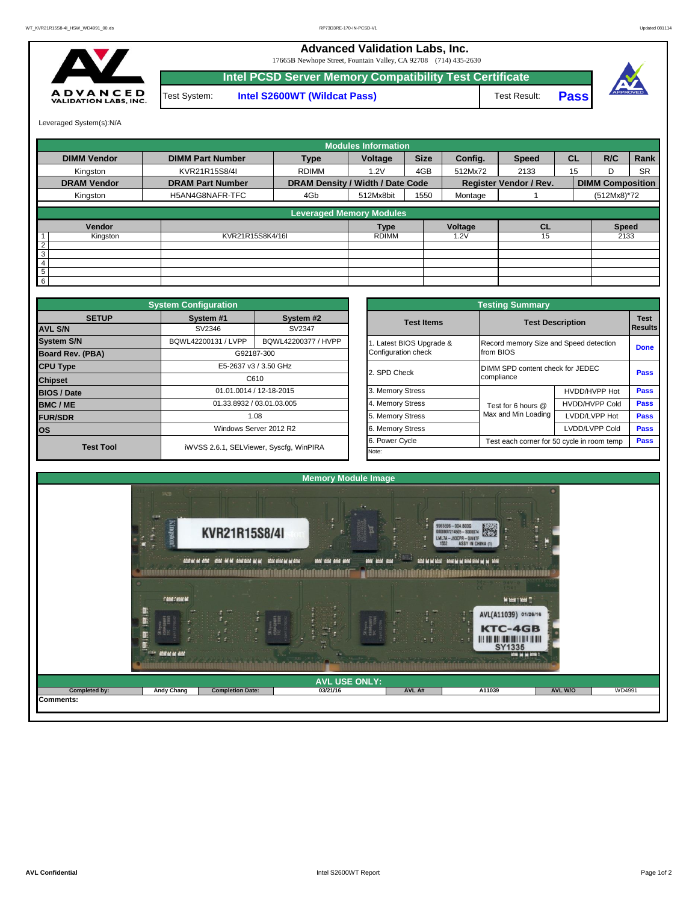## **Advanced Validation Labs, Inc.**

17665B Newhope Street, Fountain Valley, CA 92708 (714) 435-2630



**Intel PCSD Server Memory Compatibility Test Certificate** Test System: **Intel S2600WT (Wildcat Pass)** Test Result: **Pass** 



Leveraged System(s):N/A

|                                 |                         |                                  | <b>Modules Information</b> |             |         |                        |           |                         |           |  |  |  |
|---------------------------------|-------------------------|----------------------------------|----------------------------|-------------|---------|------------------------|-----------|-------------------------|-----------|--|--|--|
| <b>DIMM Vendor</b>              | <b>DIMM Part Number</b> | <b>Type</b>                      | Voltage                    | <b>Size</b> | Config. | <b>Speed</b>           | <b>CL</b> | R/C                     | Rank      |  |  |  |
| Kingston                        | KVR21R15S8/4I           | <b>RDIMM</b>                     | 1.2V                       | 4GB         | 512Mx72 | 2133                   | 15        |                         | <b>SR</b> |  |  |  |
| <b>DRAM Vendor</b>              | <b>DRAM Part Number</b> | DRAM Density / Width / Date Code |                            |             |         | Register Vendor / Rev. |           | <b>DIMM Composition</b> |           |  |  |  |
| Kingston                        | H5AN4G8NAFR-TFC         | 4Gb                              | 512Mx8bit                  | 1550        | Montage |                        |           | (512Mx8)*72             |           |  |  |  |
| <b>Leveraged Memory Modules</b> |                         |                                  |                            |             |         |                        |           |                         |           |  |  |  |
| Vendor                          |                         |                                  | <b>Type</b>                |             | Voltage | CL                     |           | <b>Speed</b>            |           |  |  |  |
| Kingston                        | KVR21R15S8K4/16I        |                                  | <b>RDIMM</b>               |             | 1.2V    | 15                     |           | 2133                    |           |  |  |  |
| $\overline{2}$                  |                         |                                  |                            |             |         |                        |           |                         |           |  |  |  |
| 3                               |                         |                                  |                            |             |         |                        |           |                         |           |  |  |  |
| 4                               |                         |                                  |                            |             |         |                        |           |                         |           |  |  |  |
| 5                               |                         |                                  |                            |             |         |                        |           |                         |           |  |  |  |
| 6                               |                         |                                  |                            |             |         |                        |           |                         |           |  |  |  |

|                         | <b>System Configuration</b>                                                                                                                                                                          |                     |  |                         |                                            |                        |             |  |  |
|-------------------------|------------------------------------------------------------------------------------------------------------------------------------------------------------------------------------------------------|---------------------|--|-------------------------|--------------------------------------------|------------------------|-------------|--|--|
| <b>SETUP</b>            | System #1                                                                                                                                                                                            | System #2           |  | <b>Test Items</b>       | <b>Test Description</b>                    | <b>Test</b><br>Results |             |  |  |
| <b>AVL S/N</b>          |                                                                                                                                                                                                      |                     |  |                         |                                            |                        |             |  |  |
| <b>System S/N</b>       | BQWL42200131 / LVPP                                                                                                                                                                                  | BQWL42200377 / HVPP |  | . Latest BIOS Upgrade & | Record memory Size and Speed detection     |                        |             |  |  |
| <b>Board Rev. (PBA)</b> |                                                                                                                                                                                                      |                     |  | Configuration check     | from BIOS                                  |                        | <b>Done</b> |  |  |
| <b>CPU Type</b>         |                                                                                                                                                                                                      |                     |  | 2. SPD Check            | DIMM SPD content check for JEDEC           |                        | <b>Pass</b> |  |  |
| <b>Chipset</b>          |                                                                                                                                                                                                      |                     |  |                         | compliance                                 |                        |             |  |  |
| <b>BIOS / Date</b>      | SV2346<br>SV2347<br>G92187-300<br>E5-2637 v3 / 3.50 GHz<br>C610<br>01.01.0014 / 12-18-2015<br>01.33.8932 / 03.01.03.005<br>1.08<br>Windows Server 2012 R2<br>iWVSS 2.6.1, SELViewer, Syscfq, WinPIRA |                     |  | 3. Memory Stress        |                                            | HVDD/HVPP Hot          | <b>Pass</b> |  |  |
| <b>BMC/ME</b>           |                                                                                                                                                                                                      |                     |  | 4. Memory Stress        | Test for 6 hours @                         | <b>HVDD/HVPP Cold</b>  | Pass        |  |  |
| <b>FUR/SDR</b>          |                                                                                                                                                                                                      |                     |  | 5. Memory Stress        | Max and Min Loading                        | LVDD/LVPP Hot          | Pass        |  |  |
| <b>los</b>              |                                                                                                                                                                                                      |                     |  | 6. Memory Stress        |                                            | LVDD/LVPP Cold         | <b>Pass</b> |  |  |
|                         |                                                                                                                                                                                                      |                     |  | 6. Power Cycle          | Test each corner for 50 cycle in room temp | <b>Pass</b>            |             |  |  |
| <b>Test Tool</b>        |                                                                                                                                                                                                      |                     |  | Note:                   |                                            |                        |             |  |  |

|              | <b>System Configuration</b> |                                         |                                                              | <b>Testing Summary</b>                         |                       |      |  |  |  |
|--------------|-----------------------------|-----------------------------------------|--------------------------------------------------------------|------------------------------------------------|-----------------------|------|--|--|--|
| <b>SETUP</b> | System #1                   | System #2                               | <b>Test Items</b>                                            | <b>Test Description</b>                        |                       |      |  |  |  |
|              | SV2346                      | SV2347                                  |                                                              |                                                |                       |      |  |  |  |
|              | BQWL42200131 / LVPP         | BQWL42200377 / HVPP                     | Latest BIOS Upgrade &                                        | Record memory Size and Speed detection         |                       |      |  |  |  |
| PBA)         |                             | G92187-300                              | Configuration check                                          | from BIOS                                      |                       |      |  |  |  |
|              |                             | E5-2637 v3 / 3.50 GHz                   | 2. SPD Check                                                 | DIMM SPD content check for JEDEC<br>compliance |                       |      |  |  |  |
|              |                             | C610                                    |                                                              |                                                |                       |      |  |  |  |
|              |                             | 01.01.0014 / 12-18-2015                 | 3. Memory Stress                                             |                                                | HVDD/HVPP Hot         |      |  |  |  |
|              |                             | 01.33.8932 / 03.01.03.005               | 4. Memory Stress<br>Test for 6 hours @                       |                                                | <b>HVDD/HVPP Cold</b> | Pass |  |  |  |
|              |                             | 1.08                                    | 5. Memory Stress                                             | Max and Min Loading                            | LVDD/LVPP Hot         |      |  |  |  |
|              |                             | Windows Server 2012 R2                  | 6. Memory Stress                                             |                                                | LVDD/LVPP Cold        | Pass |  |  |  |
|              |                             |                                         | 6. Power Cycle<br>Test each corner for 50 cycle in room temp |                                                |                       |      |  |  |  |
| est Tool     |                             | iWVSS 2.6.1, SELViewer, Syscfg, WinPIRA | Note:                                                        |                                                |                       |      |  |  |  |